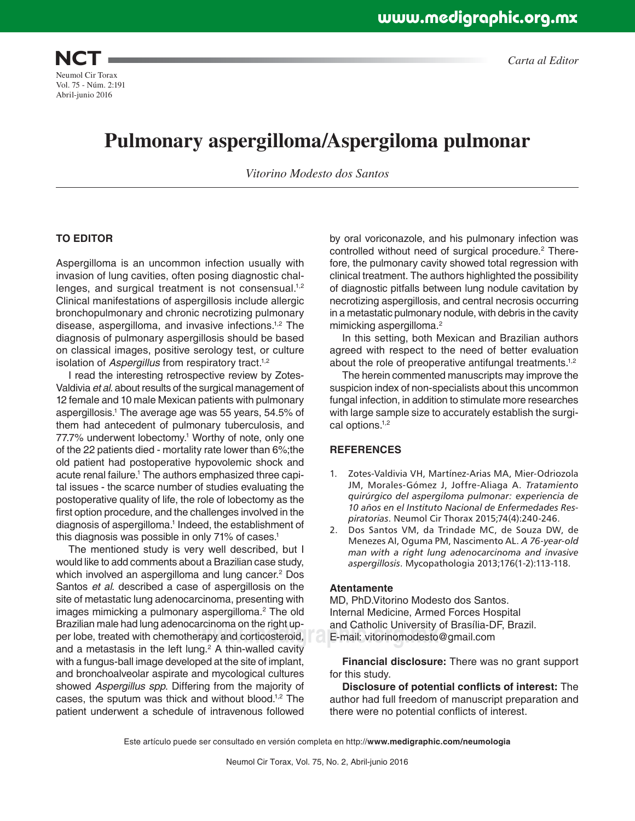

# **Pulmonary aspergilloma/Aspergiloma pulmonar**

*Vitorino Modesto dos Santos*

#### **TO EDITOR**

Aspergilloma is an uncommon infection usually with invasion of lung cavities, often posing diagnostic challenges, and surgical treatment is not consensual.<sup>1,2</sup> Clinical manifestations of aspergillosis include allergic bronchopulmonary and chronic necrotizing pulmonary disease, aspergilloma, and invasive infections.1,2 The diagnosis of pulmonary aspergillosis should be based on classical images, positive serology test, or culture isolation of *Aspergillus* from respiratory tract.<sup>1,2</sup>

I read the interesting retrospective review by Zotes-Valdivia *et al*. about results of the surgical management of 12 female and 10 male Mexican patients with pulmonary aspergillosis.1 The average age was 55 years, 54.5% of them had antecedent of pulmonary tuberculosis, and 77.7% underwent lobectomy.<sup>1</sup> Worthy of note, only one of the 22 patients died - mortality rate lower than 6%;the old patient had postoperative hypovolemic shock and acute renal failure.<sup>1</sup> The authors emphasized three capital issues - the scarce number of studies evaluating the postoperative quality of life, the role of lobectomy as the first option procedure, and the challenges involved in the diagnosis of aspergilloma.<sup>1</sup> Indeed, the establishment of this diagnosis was possible in only 71% of cases.<sup>1</sup>

per lobe, treated with chemotherapy and corticosteroid, E-mail: vitorinomodesto The mentioned study is very well described, but I would like to add comments about a Brazilian case study, which involved an aspergilloma and lung cancer.<sup>2</sup> Dos Santos *et al*. described a case of aspergillosis on the site of metastatic lung adenocarcinoma, presenting with images mimicking a pulmonary aspergilloma.<sup>2</sup> The old Brazilian male had lung adenocarcinoma on the right upand a metastasis in the left lung.<sup>2</sup> A thin-walled cavity with a fungus-ball image developed at the site of implant, and bronchoalveolar aspirate and mycological cultures showed *Aspergillus spp*. Differing from the majority of cases, the sputum was thick and without blood.1,2 The patient underwent a schedule of intravenous followed

by oral voriconazole, and his pulmonary infection was controlled without need of surgical procedure.<sup>2</sup> Therefore, the pulmonary cavity showed total regression with clinical treatment. The authors highlighted the possibility of diagnostic pitfalls between lung nodule cavitation by necrotizing aspergillosis, and central necrosis occurring in a metastatic pulmonary nodule, with debris in the cavity mimicking aspergilloma.<sup>2</sup>

In this setting, both Mexican and Brazilian authors agreed with respect to the need of better evaluation about the role of preoperative antifungal treatments.<sup>1,2</sup>

The herein commented manuscripts may improve the suspicion index of non-specialists about this uncommon fungal infection, in addition to stimulate more researches with large sample size to accurately establish the surgical options.1,2

#### **REFERENCES**

- 1. Zotes-Valdivia VH, Martínez-Arias MA, Mier-Odriozola JM, Morales-Gómez J, Joffre-Aliaga A. *Tratamiento quirúrgico del aspergiloma pulmonar: experiencia de 10 años en el Instituto Nacional de Enfermedades Respiratorias*. Neumol Cir Thorax 2015;74(4):240-246.
- 2. Dos Santos VM, da Trindade MC, de Souza DW, de Menezes AI, Oguma PM, Nascimento AL. *A 76-year-old man with a right lung adenocarcinoma and invasive aspergillosis*. Mycopathologia 2013;176(1-2):113-118.

#### **Atentamente**

MD, PhD.Vitorino Modesto dos Santos. Internal Medicine, Armed Forces Hospital and Catholic University of Brasília-DF, Brazil. E-mail: vitorinomodesto@gmail.com

**Financial disclosure:** There was no grant support for this study.

**Disclosure of potential conflicts of interest:** The author had full freedom of manuscript preparation and there were no potential conflicts of interest.

Este artículo puede ser consultado en versión completa en http://**www.medigraphic.com/neumologia**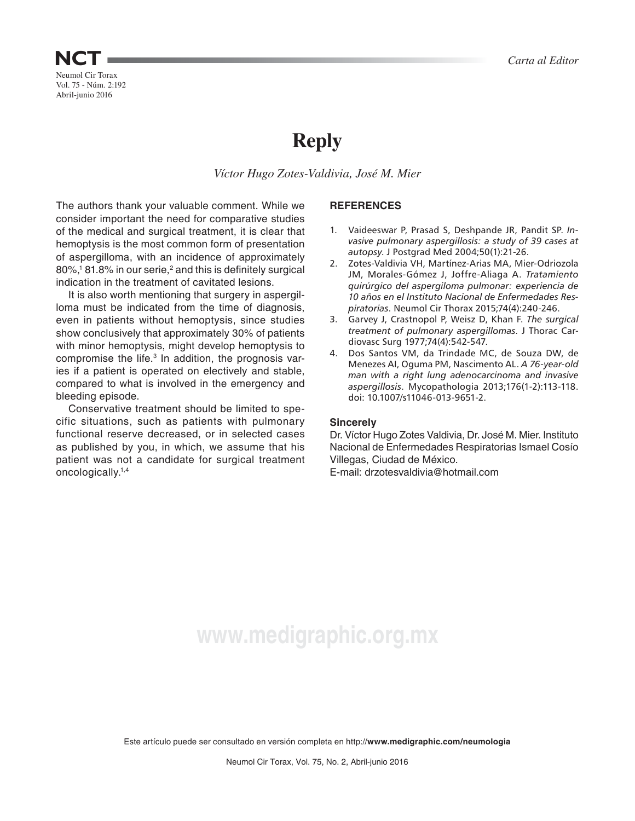## Neumol Cir Torax **NCT**

Vol. 75 - Núm. 2:192 Abril-junio 2016

# **Reply**

*Víctor Hugo Zotes-Valdivia, José M. Mier*

The authors thank your valuable comment. While we consider important the need for comparative studies of the medical and surgical treatment, it is clear that hemoptysis is the most common form of presentation of aspergilloma, with an incidence of approximately 80%,<sup>1</sup> 81.8% in our serie,<sup>2</sup> and this is definitely surgical indication in the treatment of cavitated lesions.

It is also worth mentioning that surgery in aspergilloma must be indicated from the time of diagnosis, even in patients without hemoptysis, since studies show conclusively that approximately 30% of patients with minor hemoptysis, might develop hemoptysis to compromise the life.<sup>3</sup> In addition, the prognosis varies if a patient is operated on electively and stable, compared to what is involved in the emergency and bleeding episode.

Conservative treatment should be limited to specific situations, such as patients with pulmonary functional reserve decreased, or in selected cases as published by you, in which, we assume that his patient was not a candidate for surgical treatment oncologically.1,4

## **REFERENCES**

- 1. Vaideeswar P, Prasad S, Deshpande JR, Pandit SP. *Invasive pulmonary aspergillosis: a study of 39 cases at autopsy*. J Postgrad Med 2004;50(1):21-26.
- 2. Zotes-Valdivia VH, Martínez-Arias MA, Mier-Odriozola JM, Morales-Gómez J, Joffre-Aliaga A. *Tratamiento quirúrgico del aspergiloma pulmonar: experiencia de 10 años en el Instituto Nacional de Enfermedades Respiratorias*. Neumol Cir Thorax 2015;74(4):240-246.
- 3. Garvey J, Crastnopol P, Weisz D, Khan F. *The surgical treatment of pulmonary aspergillomas*. J Thorac Cardiovasc Surg 1977;74(4):542-547.
- 4. Dos Santos VM, da Trindade MC, de Souza DW, de Menezes AI, Oguma PM, Nascimento AL. *A 76-year-old man with a right lung adenocarcinoma and invasive aspergillosis*. Mycopathologia 2013;176(1-2):113-118. doi: 10.1007/s11046-013-9651-2.

## **Sincerely**

Dr. Víctor Hugo Zotes Valdivia, Dr. José M. Mier. Instituto Nacional de Enfermedades Respiratorias Ismael Cosío Villegas, Ciudad de México.

E-mail: drzotesvaldivia@hotmail.com

# **www.medigraphic.org.mx**

Este artículo puede ser consultado en versión completa en http://**www.medigraphic.com/neumologia**